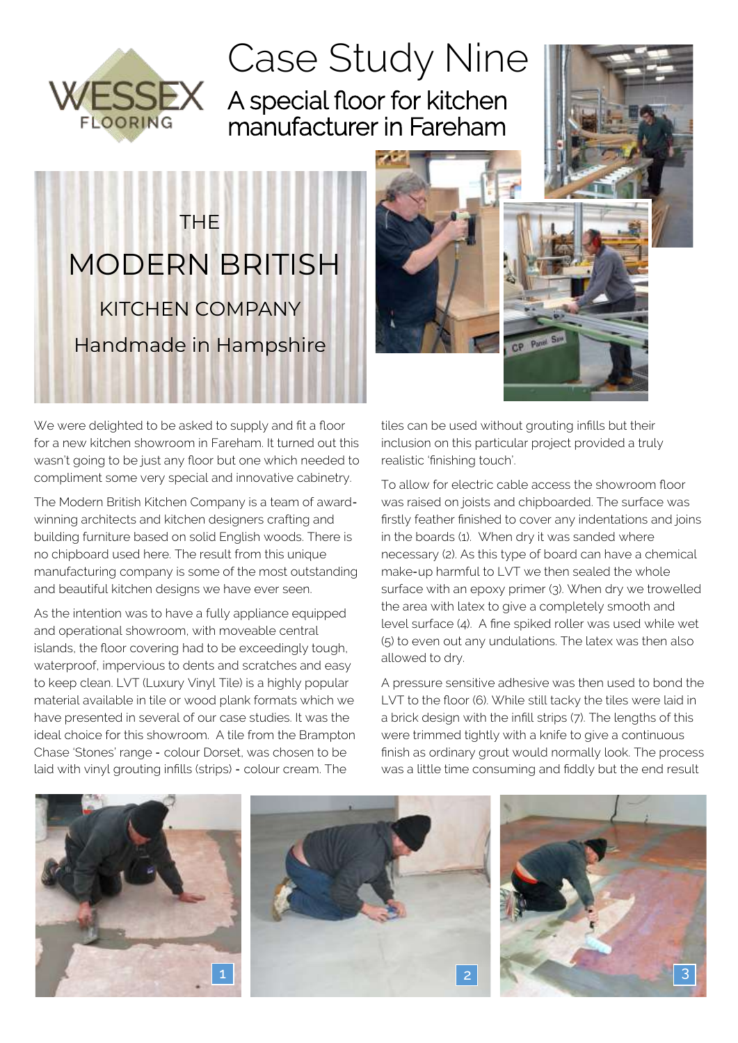

## Case Study Nine A special floor for kitchen manufacturer in Fareham







We were delighted to be asked to supply and fit a floor for a new kitchen showroom in Fareham. It turned out this wasn't going to be just any floor but one which needed to compliment some very special and innovative cabinetry.

The Modern British Kitchen Company is a team of awardwinning architects and kitchen designers crafting and building furniture based on solid English woods. There is no chipboard used here. The result from this unique manufacturing company is some of the most outstanding and beautiful kitchen designs we have ever seen.

As the intention was to have a fully appliance equipped and operational showroom, with moveable central islands, the floor covering had to be exceedingly tough, waterproof, impervious to dents and scratches and easy to keep clean. LVT (Luxury Vinyl Tile) is a highly popular material available in tile or wood plank formats which we have presented in several of our case studies. It was the ideal choice for this showroom. A tile from the Brampton Chase 'Stones' range - colour Dorset, was chosen to be laid with vinyl grouting infills (strips) - colour cream. The

tiles can be used without grouting infills but their inclusion on this particular project provided a truly realistic 'finishing touch'.

To allow for electric cable access the showroom floor was raised on joists and chipboarded. The surface was firstly feather finished to cover any indentations and joins in the boards (1). When dry it was sanded where necessary (2). As this type of board can have a chemical make-up harmful to LVT we then sealed the whole surface with an epoxy primer (3). When dry we trowelled the area with latex to give a completely smooth and level surface (4). A fine spiked roller was used while wet (5) to even out any undulations. The latex was then also allowed to dry.

A pressure sensitive adhesive was then used to bond the LVT to the floor (6). While still tacky the tiles were laid in a brick design with the infill strips (7). The lengths of this were trimmed tightly with a knife to give a continuous finish as ordinary grout would normally look. The process was a little time consuming and fiddly but the end result